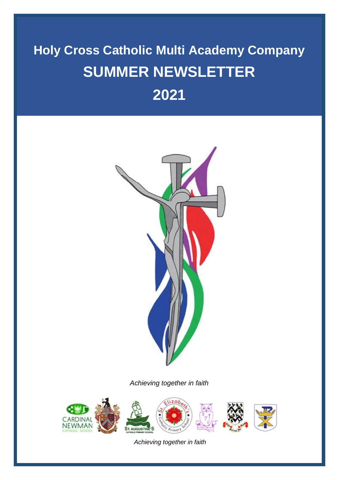# **Holy Cross Catholic Multi Academy Company SUMMER NEWSLETTER 2021**



*Achieving together in faith*

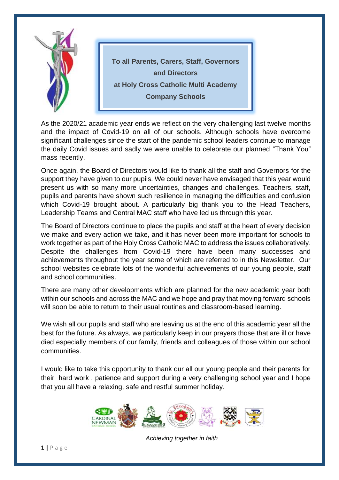

As the 2020/21 academic year ends we reflect on the very challenging last twelve months and the impact of Covid-19 on all of our schools. Although schools have overcome significant challenges since the start of the pandemic school leaders continue to manage the daily Covid issues and sadly we were unable to celebrate our planned "Thank You" mass recently.

Once again, the Board of Directors would like to thank all the staff and Governors for the support they have given to our pupils. We could never have envisaged that this year would present us with so many more uncertainties, changes and challenges. Teachers, staff, pupils and parents have shown such resilience in managing the difficulties and confusion which Covid-19 brought about. A particularly big thank you to the Head Teachers, Leadership Teams and Central MAC staff who have led us through this year.

The Board of Directors continue to place the pupils and staff at the heart of every decision we make and every action we take, and it has never been more important for schools to work together as part of the Holy Cross Catholic MAC to address the issues collaboratively. Despite the challenges from Covid-19 there have been many successes and achievements throughout the year some of which are referred to in this Newsletter. Our school websites celebrate lots of the wonderful achievements of our young people, staff and school communities.

There are many other developments which are planned for the new academic year both within our schools and across the MAC and we hope and pray that moving forward schools will soon be able to return to their usual routines and classroom-based learning.

We wish all our pupils and staff who are leaving us at the end of this academic year all the best for the future. As always, we particularly keep in our prayers those that are ill or have died especially members of our family, friends and colleagues of those within our school communities.

I would like to take this opportunity to thank our all our young people and their parents for their hard work , patience and support during a very challenging school year and I hope that you all have a relaxing, safe and restful summer holiday.

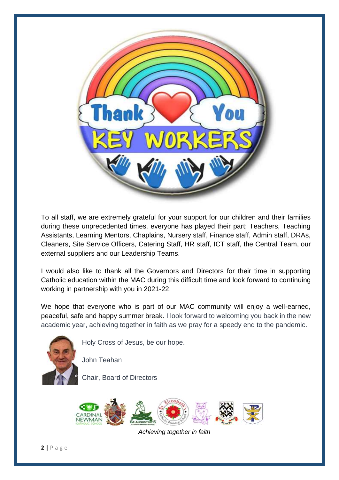

To all staff, we are extremely grateful for your support for our children and their families during these unprecedented times, everyone has played their part; Teachers, Teaching Assistants, Learning Mentors, Chaplains, Nursery staff, Finance staff, Admin staff, DRAs, Cleaners, Site Service Officers, Catering Staff, HR staff, ICT staff, the Central Team, our external suppliers and our Leadership Teams.

I would also like to thank all the Governors and Directors for their time in supporting Catholic education within the MAC during this difficult time and look forward to continuing working in partnership with you in 2021-22.

We hope that everyone who is part of our MAC community will enjoy a well-earned, peaceful, safe and happy summer break. I look forward to welcoming you back in the new academic year, achieving together in faith as we pray for a speedy end to the pandemic.



Holy Cross of Jesus, be our hope.

John Teahan

Chair, Board of Directors

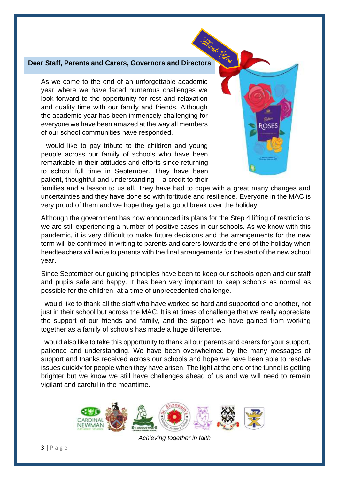# **Dear Staff, Parents and Carers, Governors and Directors**

As we come to the end of an unforgettable academic year where we have faced numerous challenges we look forward to the opportunity for rest and relaxation and quality time with our family and friends. Although the academic year has been immensely challenging for everyone we have been amazed at the way all members of our school communities have responded.

I would like to pay tribute to the children and young people across our family of schools who have been remarkable in their attitudes and efforts since returning to school full time in September. They have been patient, thoughtful and understanding – a credit to their ROSE!

families and a lesson to us all. They have had to cope with a great many changes and uncertainties and they have done so with fortitude and resilience. Everyone in the MAC is very proud of them and we hope they get a good break over the holiday.

Although the government has now announced its plans for the Step 4 lifting of restrictions we are still experiencing a number of positive cases in our schools. As we know with this pandemic, it is very difficult to make future decisions and the arrangements for the new term will be confirmed in writing to parents and carers towards the end of the holiday when headteachers will write to parents with the final arrangements for the start of the new school year.

Since September our guiding principles have been to keep our schools open and our staff and pupils safe and happy. It has been very important to keep schools as normal as possible for the children, at a time of unprecedented challenge.

I would like to thank all the staff who have worked so hard and supported one another, not just in their school but across the MAC. It is at times of challenge that we really appreciate the support of our friends and family, and the support we have gained from working together as a family of schools has made a huge difference.

I would also like to take this opportunity to thank all our parents and carers for your support, patience and understanding. We have been overwhelmed by the many messages of support and thanks received across our schools and hope we have been able to resolve issues quickly for people when they have arisen. The light at the end of the tunnel is getting brighter but we know we still have challenges ahead of us and we will need to remain vigilant and careful in the meantime.



*Achieving together in faith*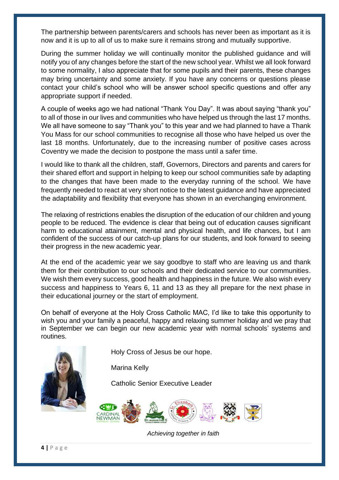The partnership between parents/carers and schools has never been as important as it is now and it is up to all of us to make sure it remains strong and mutually supportive.

During the summer holiday we will continually monitor the published guidance and will notify you of any changes before the start of the new school year. Whilst we all look forward to some normality, I also appreciate that for some pupils and their parents, these changes may bring uncertainty and some anxiety. If you have any concerns or questions please contact your child's school who will be answer school specific questions and offer any appropriate support if needed.

A couple of weeks ago we had national "Thank You Day". It was about saying "thank you" to all of those in our lives and communities who have helped us through the last 17 months. We all have someone to say "Thank you" to this year and we had planned to have a Thank You Mass for our school communities to recognise all those who have helped us over the last 18 months. Unfortunately, due to the increasing number of positive cases across Coventry we made the decision to postpone the mass until a safer time.

I would like to thank all the children, staff, Governors, Directors and parents and carers for their shared effort and support in helping to keep our school communities safe by adapting to the changes that have been made to the everyday running of the school. We have frequently needed to react at very short notice to the latest guidance and have appreciated the adaptability and flexibility that everyone has shown in an everchanging environment.

The relaxing of restrictions enables the disruption of the education of our children and young people to be reduced. The evidence is clear that being out of education causes significant harm to educational attainment, mental and physical health, and life chances, but I am confident of the success of our catch-up plans for our students, and look forward to seeing their progress in the new academic year.

At the end of the academic year we say goodbye to staff who are leaving us and thank them for their contribution to our schools and their dedicated service to our communities. We wish them every success, good health and happiness in the future. We also wish every success and happiness to Years 6, 11 and 13 as they all prepare for the next phase in their educational journey or the start of employment.

On behalf of everyone at the Holy Cross Catholic MAC, I'd like to take this opportunity to wish you and your family a peaceful, happy and relaxing summer holiday and we pray that in September we can begin our new academic year with normal schools' systems and routines.



Holy Cross of Jesus be our hope.

Marina Kelly

Catholic Senior Executive Leader

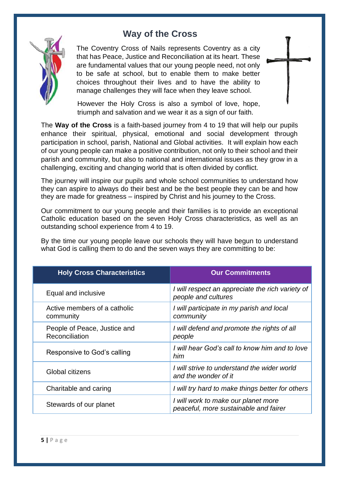# **Way of the Cross**



The Coventry Cross of Nails represents Coventry as a city that has Peace, Justice and Reconciliation at its heart. These are fundamental values that our young people need, not only to be safe at school, but to enable them to make better choices throughout their lives and to have the ability to manage challenges they will face when they leave school.

However the Holy Cross is also a symbol of love, hope, triumph and salvation and we wear it as a sign of our faith.

The **Way of the Cross** is a faith-based journey from 4 to 19 that will help our pupils enhance their spiritual, physical, emotional and social development through participation in school, parish, National and Global activities. It will explain how each of our young people can make a positive contribution, not only to their school and their parish and community, but also to national and international issues as they grow in a challenging, exciting and changing world that is often divided by conflict.

The journey will inspire our pupils and whole school communities to understand how they can aspire to always do their best and be the best people they can be and how they are made for greatness – inspired by Christ and his journey to the Cross.

Our commitment to our young people and their families is to provide an exceptional Catholic education based on the seven Holy Cross characteristics, as well as an outstanding school experience from 4 to 19.

By the time our young people leave our schools they will have begun to understand what God is calling them to do and the seven ways they are committing to be:

| <b>Holy Cross Characteristics</b>              | <b>Our Commitments</b>                                                       |
|------------------------------------------------|------------------------------------------------------------------------------|
| Equal and inclusive                            | I will respect an appreciate the rich variety of<br>people and cultures      |
| Active members of a catholic<br>community      | I will participate in my parish and local<br>community                       |
| People of Peace, Justice and<br>Reconciliation | I will defend and promote the rights of all<br>people                        |
| Responsive to God's calling                    | I will hear God's call to know him and to love<br>him                        |
| Global citizens                                | I will strive to understand the wider world<br>and the wonder of it          |
| Charitable and caring                          | I will try hard to make things better for others                             |
| Stewards of our planet                         | I will work to make our planet more<br>peaceful, more sustainable and fairer |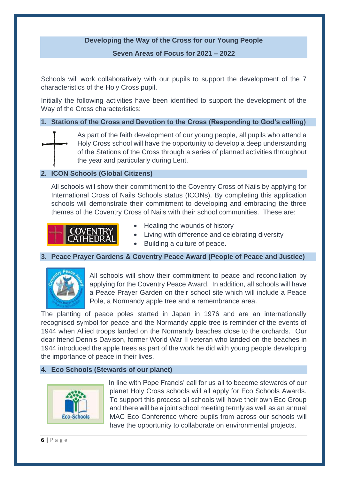#### **Developing the Way of the Cross for our Young People**

**Seven Areas of Focus for 2021 – 2022**

Schools will work collaboratively with our pupils to support the development of the 7 characteristics of the Holy Cross pupil.

Initially the following activities have been identified to support the development of the Way of the Cross characteristics:

#### **1. Stations of the Cross and Devotion to the Cross (Responding to God's calling)**



As part of the faith development of our young people, all pupils who attend a Holy Cross school will have the opportunity to develop a deep understanding of the Stations of the Cross through a series of planned activities throughout the year and particularly during Lent.

#### **2. ICON Schools (Global Citizens)**

All schools will show their commitment to the Coventry Cross of Nails by applying for International Cross of Nails Schools status (ICONs). By completing this application schools will demonstrate their commitment to developing and embracing the three themes of the Coventry Cross of Nails with their school communities. These are:



- Healing the wounds of history
- Living with difference and celebrating diversity
- Building a culture of peace.

#### **3. Peace Prayer Gardens & Coventry Peace Award (People of Peace and Justice)**



All schools will show their commitment to peace and reconciliation by applying for the Coventry Peace Award. In addition, all schools will have a Peace Prayer Garden on their school site which will include a Peace Pole, a Normandy apple tree and a remembrance area.

The planting of peace poles started in Japan in 1976 and are an internationally recognised symbol for peace and the Normandy apple tree is reminder of the events of 1944 when Allied troops landed on the Normandy beaches close to the orchards. Our dear friend Dennis Davison, former World War II veteran who landed on the beaches in 1944 introduced the apple trees as part of the work he did with young people developing the importance of peace in their lives.

#### **4. Eco Schools (Stewards of our planet)**



In line with Pope Francis' call for us all to become stewards of our planet Holy Cross schools will all apply for Eco Schools Awards. To support this process all schools will have their own Eco Group and there will be a joint school meeting termly as well as an annual MAC Eco Conference where pupils from across our schools will have the opportunity to collaborate on environmental projects.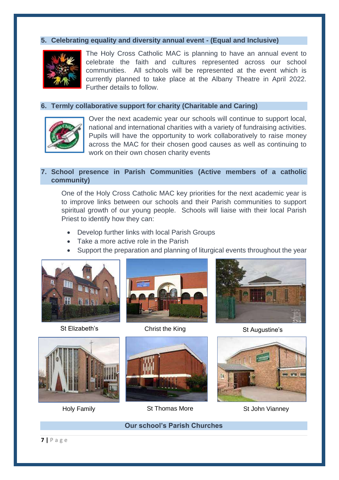#### **5. Celebrating equality and diversity annual event - (Equal and Inclusive)**



The Holy Cross Catholic MAC is planning to have an annual event to celebrate the faith and cultures represented across our school communities. All schools will be represented at the event which is currently planned to take place at the Albany Theatre in April 2022. Further details to follow.

#### **6. Termly collaborative support for charity (Charitable and Caring)**



Over the next academic year our schools will continue to support local, national and international charities with a variety of fundraising activities. Pupils will have the opportunity to work collaboratively to raise money across the MAC for their chosen good causes as well as continuing to work on their own chosen charity events

#### **7. School presence in Parish Communities (Active members of a catholic community)**

One of the Holy Cross Catholic MAC key priorities for the next academic year is to improve links between our schools and their Parish communities to support spiritual growth of our young people. Schools will liaise with their local Parish Priest to identify how they can:

- Develop further links with local Parish Groups
- Take a more active role in the Parish
- Support the preparation and planning of liturgical events throughout the year















Holy Family **St Thomas More** St John Vianney





**Our school's Parish Churches**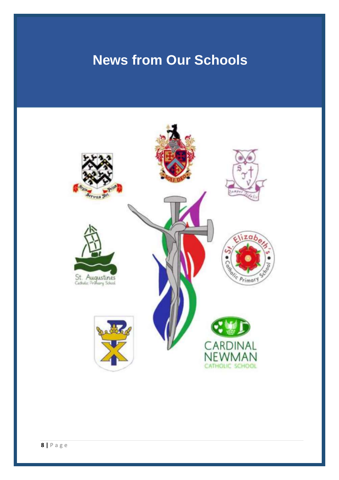# **News from Our Schools**

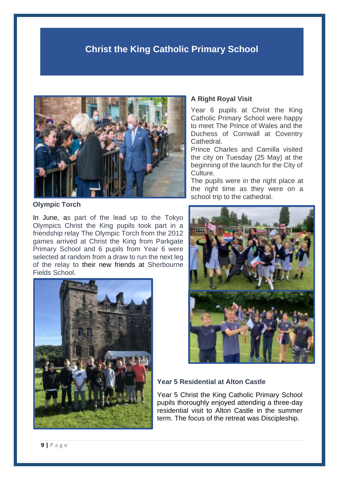# **Christ the King Catholic Primary School**



**Olympic Torch**

In June, as part of the lead up to the Tokyo Olympics Christ the King pupils took part in a friendship relay The Olympic Torch from the 2012 games arrived at Christ the King from Parkgate Primary School and 6 pupils from Year 6 were selected at random from a draw to run the next leg of the relay to their new friends at Sherbourne Fields School.



#### **A Right Royal Visit**

Year 6 pupils at Christ the King Catholic Primary School were happy to meet The Prince of Wales and the Duchess of Cornwall at Coventry Cathedral.

Prince Charles and Camilla visited the city on Tuesday (25 May) at the beginning of the launch for the City of Culture.

The pupils were in the right place at the right time as they were on a school trip to the cathedral.



#### **Year 5 Residential at Alton Castle**

Year 5 Christ the King Catholic Primary School pupils thoroughly enjoyed attending a three-day residential visit to Alton Castle in the summer term. The focus of the retreat was Discipleship.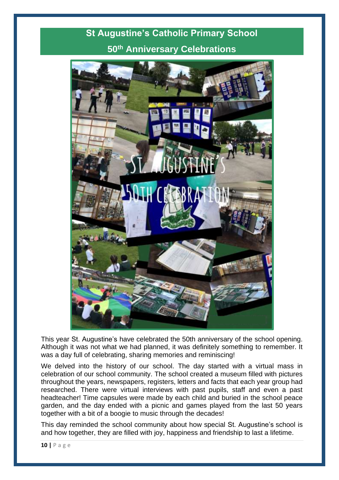# **St Augustine's Catholic Primary School 50th Anniversary Celebrations**



This year St. Augustine's have celebrated the 50th anniversary of the school opening. Although it was not what we had planned, it was definitely something to remember. It was a day full of celebrating, sharing memories and reminiscing!

We delved into the history of our school. The day started with a virtual mass in celebration of our school community. The school created a museum filled with pictures throughout the years, newspapers, registers, letters and facts that each year group had researched. There were virtual interviews with past pupils, staff and even a past headteacher! Time capsules were made by each child and buried in the school peace garden, and the day ended with a picnic and games played from the last 50 years together with a bit of a boogie to music through the decades!

This day reminded the school community about how special St. Augustine's school is and how together, they are filled with joy, happiness and friendship to last a lifetime.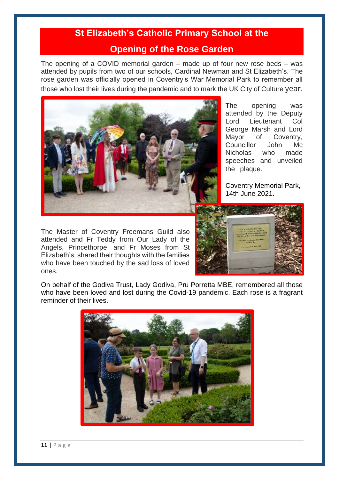# **St Elizabeth's Catholic Primary School at the**

#### **Opening of the Rose Garden**

The opening of a COVID memorial garden – made up of four new rose beds – was attended by pupils from two of our schools, Cardinal Newman and St Elizabeth's. The rose garden was officially opened in Coventry's War Memorial Park to remember all those who lost their lives during the pandemic and to mark the UK City of Culture year.



The Master of Coventry Freemans Guild also attended and Fr Teddy from Our Lady of the Angels, Princethorpe, and Fr Moses from St Elizabeth's, shared their thoughts with the families who have been touched by the sad loss of loved ones.

The opening was attended by the Deputy Lord Lieutenant Col George Marsh and Lord Mayor of Coventry, Councillor John Mc Nicholas who made speeches and unveiled the plaque.

Coventry Memorial Park, 14th June 2021.



On behalf of the Godiva Trust, Lady Godiva, Pru Porretta MBE, remembered all those who have been loved and lost during the Covid-19 pandemic. Each rose is a fragrant reminder of their lives.

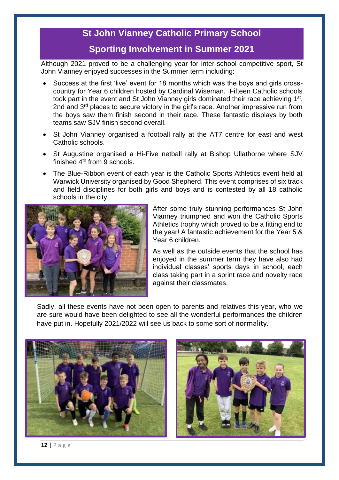## **St John Vianney Catholic Primary School**

## **Sporting Involvement in Summer 2021**

Although 2021 proved to be a challenging year for inter-school competitive sport, St John Vianney enjoyed successes in the Summer term including:

- Success at the first 'live' event for 18 months which was the boys and girls crosscountry for Year 6 children hosted by Cardinal Wiseman. Fifteen Catholic schools took part in the event and St John Vianney girls dominated their race achieving 1<sup>st</sup>, 2nd and 3<sup>rd</sup> places to secure victory in the girl's race. Another impressive run from the boys saw them finish second in their race. These fantastic displays by both teams saw SJV finish second overall.
- St John Vianney organised a football rally at the AT7 centre for east and west Catholic schools.
- St Augustine organised a Hi-Five netball rally at Bishop Ullathorne where SJV finished 4<sup>th</sup> from 9 schools.
- The Blue-Ribbon event of each year is the Catholic Sports Athletics event held at Warwick University organised by Good Shepherd. This event comprises of six track and field disciplines for both girls and boys and is contested by all 18 catholic schools in the city.



After some truly stunning performances St John Vianney triumphed and won the Catholic Sports Athletics trophy which proved to be a fitting end to the year! A fantastic achievement for the Year 5 & Year 6 children.

As well as the outside events that the school has enjoyed in the summer term they have also had individual classes' sports days in school, each class taking part in a sprint race and novelty race against their classmates.

Sadly, all these events have not been open to parents and relatives this year, who we are sure would have been delighted to see all the wonderful performances the children have put in. Hopefully 2021/2022 will see us back to some sort of normality.





**12 |** P a g e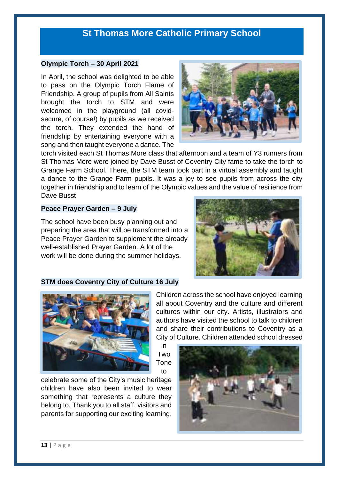## **St Thomas More Catholic Primary School**

#### **Olympic Torch – 30 April 2021**

In April, the school was delighted to be able to pass on the Olympic Torch Flame of Friendship. A group of pupils from All Saints brought the torch to STM and were welcomed in the playground (all covidsecure, of course!) by pupils as we received the torch. They extended the hand of friendship by entertaining everyone with a song and then taught everyone a dance. The



torch visited each St Thomas More class that afternoon and a team of Y3 runners from St Thomas More were joined by Dave Busst of Coventry City fame to take the torch to Grange Farm School. There, the STM team took part in a virtual assembly and taught a dance to the Grange Farm pupils. It was a joy to see pupils from across the city together in friendship and to learn of the Olympic values and the value of resilience from Dave Busst

in

to

#### **Peace Prayer Garden – 9 July**

The school have been busy planning out and preparing the area that will be transformed into a Peace Prayer Garden to supplement the already well-established Prayer Garden. A lot of the work will be done during the summer holidays.



#### **STM does Coventry City of Culture 16 July**



celebrate some of the City's music heritage children have also been invited to wear something that represents a culture they belong to. Thank you to all staff, visitors and parents for supporting our exciting learning.

Children across the school have enjoyed learning all about Coventry and the culture and different cultures within our city. Artists, illustrators and authors have visited the school to talk to children and share their contributions to Coventry as a City of Culture. Children attended school dressed

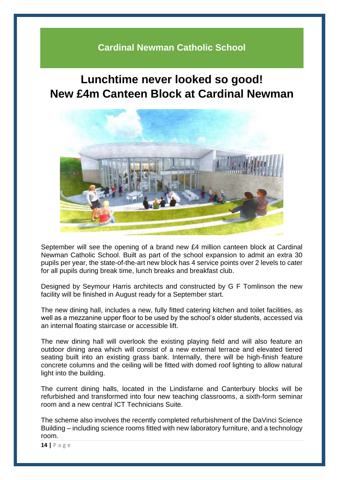# **Cardinal Newman Catholic School**

# **Lunchtime never looked so good! New £4m Canteen Block at Cardinal Newman**



September will see the opening of a brand new £4 million canteen block at Cardinal Newman Catholic School. Built as part of the school expansion to admit an extra 30 pupils per year, the state-of-the-art new block has 4 service points over 2 levels to cater for all pupils during break time, lunch breaks and breakfast club.

Designed by Seymour Harris architects and constructed by G F Tomlinson the new facility will be finished in August ready for a September start.

The new dining hall, includes a new, fully fitted catering kitchen and toilet facilities, as well as a mezzanine upper floor to be used by the school's older students, accessed via an internal floating staircase or accessible lift.

The new dining hall will overlook the existing playing field and will also feature an outdoor dining area which will consist of a new external terrace and elevated tiered seating built into an existing grass bank. Internally, there will be high-finish feature concrete columns and the ceiling will be fitted with domed roof lighting to allow natural light into the building.

The current dining halls, located in the Lindisfarne and Canterbury blocks will be refurbished and transformed into four new teaching classrooms, a sixth-form seminar room and a new central ICT Technicians Suite.

The scheme also involves the recently completed refurbishment of the DaVinci Science Building – including science rooms fitted with new laboratory furniture, and a technology room.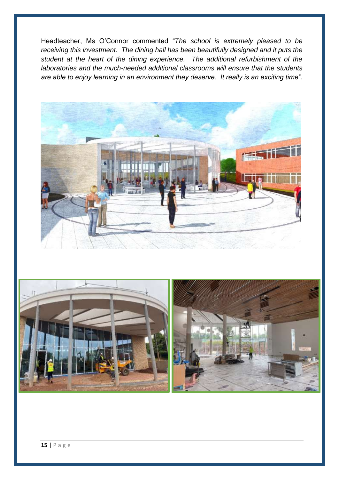Headteacher, Ms O'Connor commented "*The school is extremely pleased to be receiving this investment. The dining hall has been beautifully designed and it puts the student at the heart of the dining experience. The additional refurbishment of the laboratories and the much-needed additional classrooms will ensure that the students are able to enjoy learning in an environment they deserve. It really is an exciting time"*.



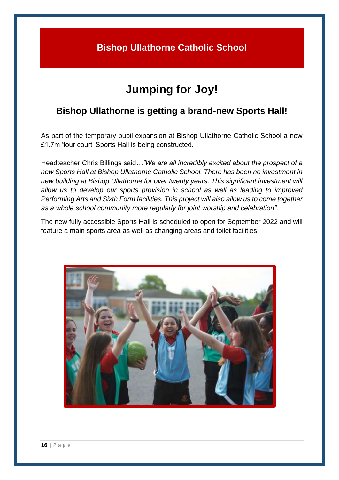# **Bishop Ullathorne Catholic School**

# **Jumping for Joy!**

# **Bishop Ullathorne is getting a brand-new Sports Hall!**

As part of the temporary pupil expansion at Bishop Ullathorne Catholic School a new £1.7m 'four court' Sports Hall is being constructed.

Headteacher Chris Billings said*…"We are all incredibly excited about the prospect of a new Sports Hall at Bishop Ullathorne Catholic School. There has been no investment in new building at Bishop Ullathorne for over twenty years. This significant investment will allow us to develop our sports provision in school as well as leading to improved Performing Arts and Sixth Form facilities. This project will also allow us to come together as a whole school community more regularly for joint worship and celebration".*

The new fully accessible Sports Hall is scheduled to open for September 2022 and will feature a main sports area as well as changing areas and toilet facilities.

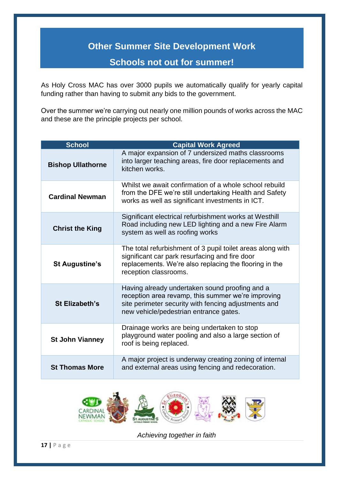# **Other Summer Site Development Work**

# **Schools not out for summer!**

As Holy Cross MAC has over 3000 pupils we automatically qualify for yearly capital funding rather than having to submit any bids to the government.

Over the summer we're carrying out nearly one million pounds of works across the MAC and these are the principle projects per school.

| <b>School</b>            | <b>Capital Work Agreed</b>                                                                                                                                                                             |
|--------------------------|--------------------------------------------------------------------------------------------------------------------------------------------------------------------------------------------------------|
| <b>Bishop Ullathorne</b> | A major expansion of 7 undersized maths classrooms<br>into larger teaching areas, fire door replacements and<br>kitchen works.                                                                         |
| <b>Cardinal Newman</b>   | Whilst we await confirmation of a whole school rebuild<br>from the DFE we're still undertaking Health and Safety<br>works as well as significant investments in ICT.                                   |
| <b>Christ the King</b>   | Significant electrical refurbishment works at Westhill<br>Road including new LED lighting and a new Fire Alarm<br>system as well as roofing works                                                      |
| <b>St Augustine's</b>    | The total refurbishment of 3 pupil toilet areas along with<br>significant car park resurfacing and fire door<br>replacements. We're also replacing the flooring in the<br>reception classrooms.        |
| <b>St Elizabeth's</b>    | Having already undertaken sound proofing and a<br>reception area revamp, this summer we're improving<br>site perimeter security with fencing adjustments and<br>new vehicle/pedestrian entrance gates. |
| <b>St John Vianney</b>   | Drainage works are being undertaken to stop<br>playground water pooling and also a large section of<br>roof is being replaced.                                                                         |
| <b>St Thomas More</b>    | A major project is underway creating zoning of internal<br>and external areas using fencing and redecoration.                                                                                          |

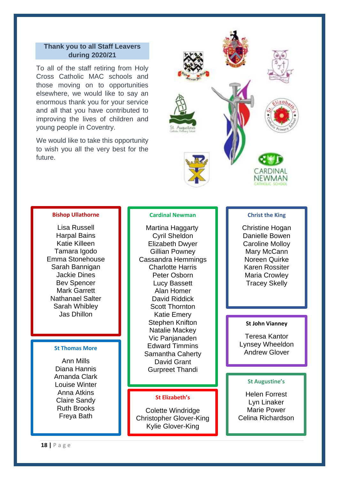#### **Thank you to all Staff Leavers during 2020/21**

To all of the staff retiring from Holy Cross Catholic MAC schools and those moving on to opportunities elsewhere, we would like to say an enormous thank you for your service and all that you have contributed to improving the lives of children and young people in Coventry.

We would like to take this opportunity to wish you all the very best for the future.



#### **Bishop Ullathorne**

Lisa Russell Harpal Bains Katie Killeen Tamara Igodo Emma Stonehouse Sarah Bannigan Jackie Dines Bev Spencer Mark Garrett Nathanael Salter Sarah Whibley Jas Dhillon

Ann Mills Diana Hannis Amanda Clark Louise Winter Anna Atkins Claire Sandy Ruth Brooks Freya Bath

#### **Cardinal Newman**

 Martina Haggarty Cyril Sheldon Elizabeth Dwyer Gillian Powney Cassandra Hemmings Charlotte Harris Peter Osborn Lucy Bassett Alan Homer David Riddick Scott Thornton Katie Emery Stephen Knifton Natalie Mackey Vic Panjanaden Edward Timmins St Thomas More **St Thomas More St Thomas More Samantha Caherty Consumerse the Consumer St Thomas More in Samantha Caherty** David Grant Gurpreet Thandi

#### **St Elizabeth's**

Colette Windridge Christopher Glover-King Kylie Glover-King

#### **Christ the King**

Christine Hogan Danielle Bowen Caroline Molloy Mary McCann Noreen Quirke Karen Rossiter Maria Crowley Tracey Skelly

#### **St John Vianney**

Teresa Kantor Lynsey Wheeldon

#### **St Augustine's**

Helen Forrest Lyn Linaker Marie Power Celina Richardson